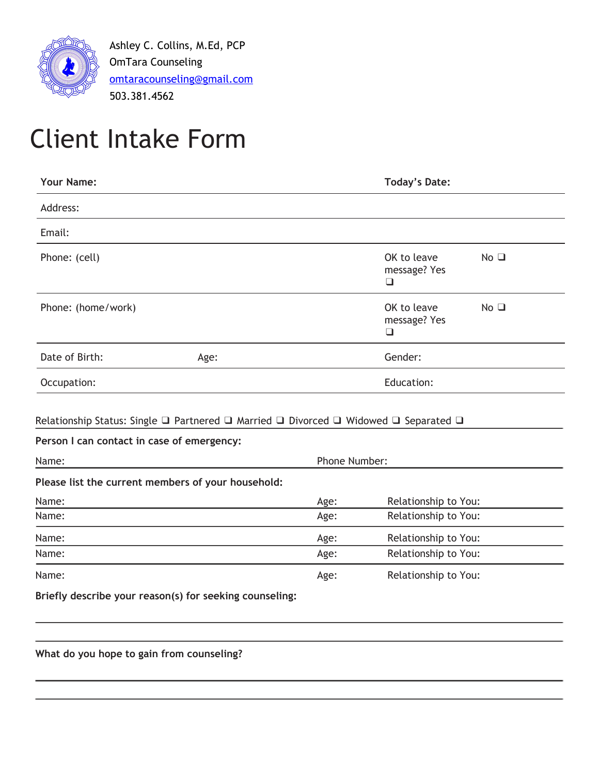

Ashley C. Collins, M.Ed, PCP OmTara Counseling [omtaracounseling@gmail.com](mailto:omtaracounseling@gmail.com) 503.381.4562

## Client Intake Form

| <b>Your Name:</b>                                                                                                                  |      |      | <b>Today's Date:</b>                  |                |  |
|------------------------------------------------------------------------------------------------------------------------------------|------|------|---------------------------------------|----------------|--|
| Address:                                                                                                                           |      |      |                                       |                |  |
| Email:                                                                                                                             |      |      |                                       |                |  |
| Phone: (cell)                                                                                                                      |      |      | OK to leave<br>message? Yes<br>$\Box$ | $No$ $\square$ |  |
| Phone: (home/work)                                                                                                                 |      |      | OK to leave<br>message? Yes<br>◻      | $No$ $\square$ |  |
| Date of Birth:                                                                                                                     | Age: |      | Gender:                               |                |  |
| Occupation:                                                                                                                        |      |      | Education:                            |                |  |
| Relationship Status: Single □ Partnered □ Married □ Divorced □ Widowed □ Separated □<br>Person I can contact in case of emergency: |      |      |                                       |                |  |
| Name:                                                                                                                              |      |      | Phone Number:                         |                |  |
| Please list the current members of your household:                                                                                 |      |      |                                       |                |  |
| Name:                                                                                                                              |      | Age: | Relationship to You:                  |                |  |
| Name:                                                                                                                              |      | Age: | Relationship to You:                  |                |  |
| Name:                                                                                                                              |      | Age: | Relationship to You:                  |                |  |
| Name:                                                                                                                              |      | Age: | Relationship to You:                  |                |  |
| Name:                                                                                                                              |      | Age: | Relationship to You:                  |                |  |
| Briefly describe your reason(s) for seeking counseling:                                                                            |      |      |                                       |                |  |

**What do you hope to gain from counseling?**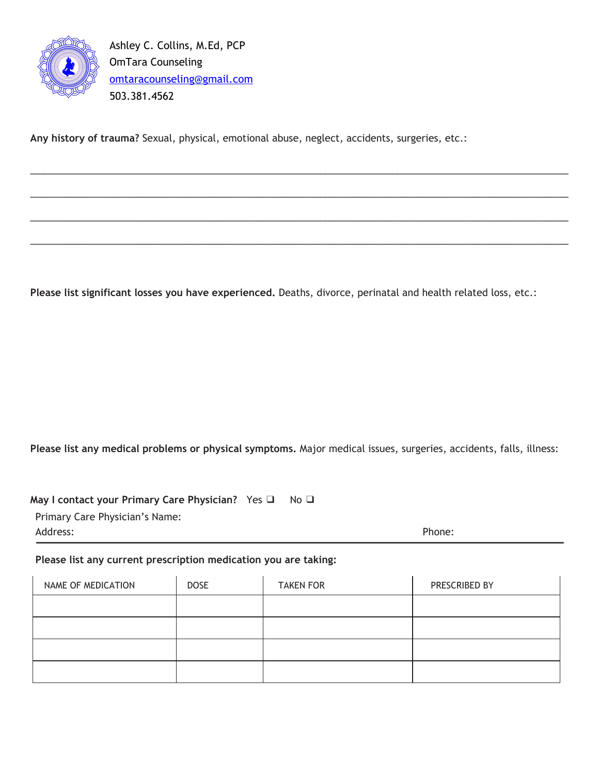

Ashley C. Collins, M.Ed, PCP OmTara Counseling [omtaracounseling@gmail.com](mailto:omtaracounseling@gmail.com) 503.381.4562

**Any history of trauma?** Sexual, physical, emotional abuse, neglect, accidents, surgeries, etc.:

**Please list significant losses you have experienced.** Deaths, divorce, perinatal and health related loss, etc.:

\_\_\_\_\_\_\_\_\_\_\_\_\_\_\_\_\_\_\_\_\_\_\_\_\_\_\_\_\_\_\_\_\_\_\_\_\_\_\_\_\_\_\_\_\_\_\_\_\_\_\_\_\_\_\_\_\_\_\_\_\_\_\_\_\_\_\_\_\_\_\_\_\_\_\_\_\_\_\_\_\_\_\_\_\_\_\_\_\_\_\_\_\_\_\_\_\_\_\_\_\_\_\_\_\_

\_\_\_\_\_\_\_\_\_\_\_\_\_\_\_\_\_\_\_\_\_\_\_\_\_\_\_\_\_\_\_\_\_\_\_\_\_\_\_\_\_\_\_\_\_\_\_\_\_\_\_\_\_\_\_\_\_\_\_\_\_\_\_\_\_\_\_\_\_\_\_\_\_\_\_\_\_\_\_\_\_\_\_\_\_\_\_\_\_\_\_\_\_\_\_\_\_\_\_\_\_\_\_\_\_

\_\_\_\_\_\_\_\_\_\_\_\_\_\_\_\_\_\_\_\_\_\_\_\_\_\_\_\_\_\_\_\_\_\_\_\_\_\_\_\_\_\_\_\_\_\_\_\_\_\_\_\_\_\_\_\_\_\_\_\_\_\_\_\_\_\_\_\_\_\_\_\_\_\_\_\_\_\_\_\_\_\_\_\_\_\_\_\_\_\_\_\_\_\_\_\_\_\_\_\_\_\_\_\_\_

\_\_\_\_\_\_\_\_\_\_\_\_\_\_\_\_\_\_\_\_\_\_\_\_\_\_\_\_\_\_\_\_\_\_\_\_\_\_\_\_\_\_\_\_\_\_\_\_\_\_\_\_\_\_\_\_\_\_\_\_\_\_\_\_\_\_\_\_\_\_\_\_\_\_\_\_\_\_\_\_\_\_\_\_\_\_\_\_\_\_\_\_\_\_\_\_\_\_\_\_\_\_\_\_\_

**Please list any medical problems or physical symptoms.** Major medical issues, surgeries, accidents, falls, illness:

**May I contact your Primary Care Physician?** Yes ❑ No ❑ Primary Care Physician's Name:

Address: Phone:

**Please list any current prescription medication you are taking:**

| NAME OF MEDICATION | <b>DOSE</b> | <b>TAKEN FOR</b> | PRESCRIBED BY |
|--------------------|-------------|------------------|---------------|
|                    |             |                  |               |
|                    |             |                  |               |
|                    |             |                  |               |
|                    |             |                  |               |